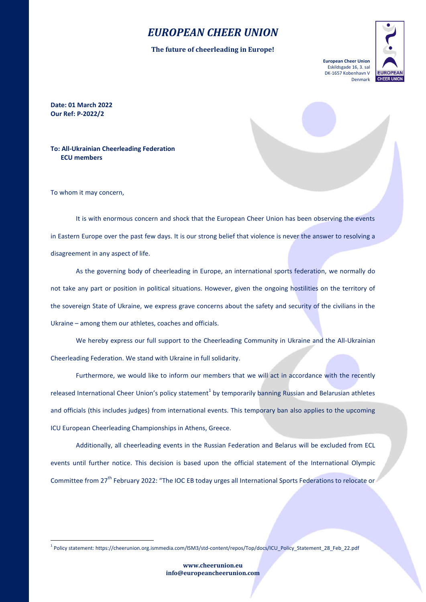## *EUROPEAN CHEER UNION*

**The future of cheerleading in Europe!**



**Date: 01 March 2022 Our Ref: P-2022/2**

**To: All-Ukrainian Cheerleading Federation ECU members**

To whom it may concern,

1

It is with enormous concern and shock that the European Cheer Union has been observing the events in Eastern Europe over the past few days. It is our strong belief that violence is never the answer to resolving a disagreement in any aspect of life.

As the governing body of cheerleading in Europe, an international sports federation, we normally do not take any part or position in political situations. However, given the ongoing hostilities on the territory of the sovereign State of Ukraine, we express grave concerns about the safety and security of the civilians in the Ukraine – among them our athletes, coaches and officials.

We hereby express our full support to the Cheerleading Community in Ukraine and the All-Ukrainian Cheerleading Federation. We stand with Ukraine in full solidarity.

Furthermore, we would like to inform our members that we will act in accordance with the recently released International Cheer Union's policy statement<sup>1</sup> by temporarily banning Russian and Belarusian athletes and officials (this includes judges) from international events. This temporary ban also applies to the upcoming ICU European Cheerleading Championships in Athens, Greece.

Additionally, all cheerleading events in the Russian Federation and Belarus will be excluded from ECL events until further notice. This decision is based upon the official statement of the International Olympic Committee from 27<sup>th</sup> February 2022: "The IOC EB today urges all International Sports Federations to relocate or

<sup>1</sup> Policy statement: https://cheerunion.org.ismmedia.com/ISM3/std-content/repos/Top/docs/ICU\_Policy\_Statement\_28\_Feb\_22.pdf